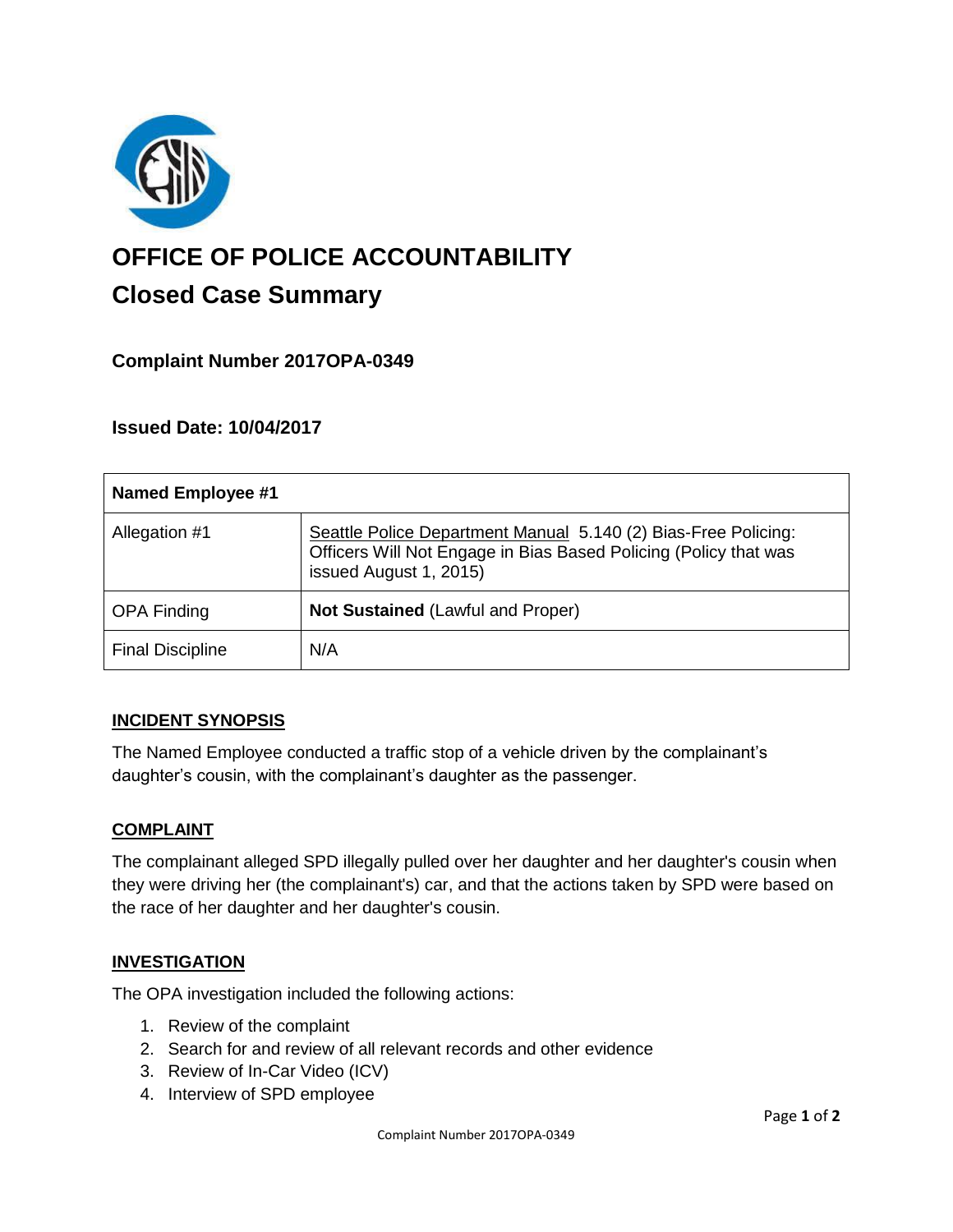

# **OFFICE OF POLICE ACCOUNTABILITY**

# **Closed Case Summary**

# **Complaint Number 2017OPA-0349**

# **Issued Date: 10/04/2017**

| <b>Named Employee #1</b> |                                                                                                                                                              |
|--------------------------|--------------------------------------------------------------------------------------------------------------------------------------------------------------|
| Allegation #1            | Seattle Police Department Manual 5.140 (2) Bias-Free Policing:<br>Officers Will Not Engage in Bias Based Policing (Policy that was<br>issued August 1, 2015) |
| <b>OPA Finding</b>       | <b>Not Sustained (Lawful and Proper)</b>                                                                                                                     |
| <b>Final Discipline</b>  | N/A                                                                                                                                                          |

# **INCIDENT SYNOPSIS**

The Named Employee conducted a traffic stop of a vehicle driven by the complainant's daughter's cousin, with the complainant's daughter as the passenger.

#### **COMPLAINT**

The complainant alleged SPD illegally pulled over her daughter and her daughter's cousin when they were driving her (the complainant's) car, and that the actions taken by SPD were based on the race of her daughter and her daughter's cousin.

# **INVESTIGATION**

The OPA investigation included the following actions:

- 1. Review of the complaint
- 2. Search for and review of all relevant records and other evidence
- 3. Review of In-Car Video (ICV)
- 4. Interview of SPD employee